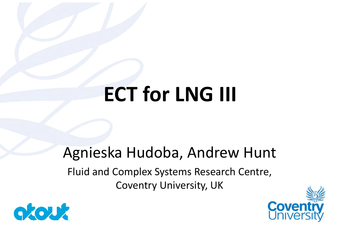# **ECT for LNG III**

#### Agnieska Hudoba, Andrew Hunt Fluid and Complex Systems Research Centre, Coventry University, UK



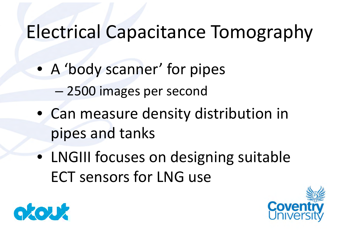### Electrical Capacitance Tomography

- •A 'body scanner' for pipes
	- and the state of the 2500 images per second
- •Can measure density distribution in pipes and tanks
- LNGIII focuses on designing suitable ECT sensors for LNG use



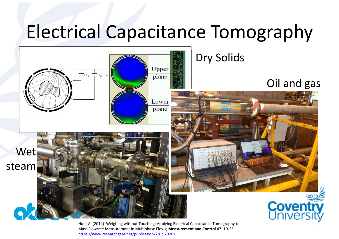#### Electrical Capacitance Tomography



Hunt A. (2014) Weighing without Touching: Applying Electrical Capacitance Tomography to Mass Flowrate Measurement in Multiphase Flows; **Measurement and Control** 47: 19-25. https://www.researchgate.net/publication/281970207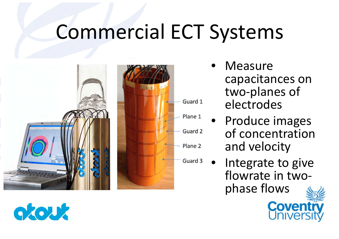## Commercial ECT Systems





- • Measure capacitances on two-planes of electrodes
- • Produce images of concentration and velocity
- • Integrate to give flowrate in twophase flows



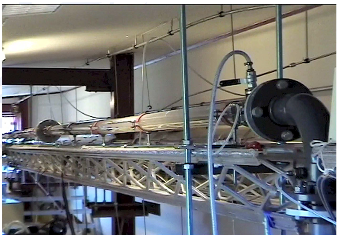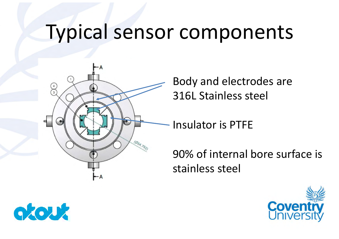### Typical sensor components



Body and electrodes are316L Stainless steel

Insulator is PTFE

90% of internal bore surface isstainless steel



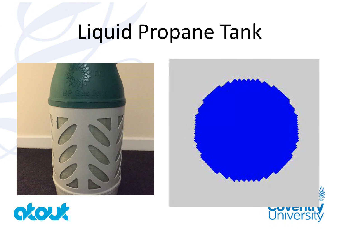# Liquid Propane Tank





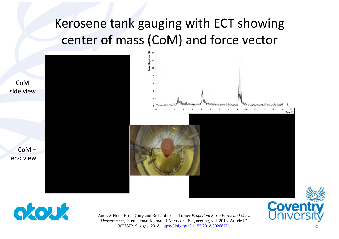#### Kerosene tank gauging with ECT showingcenter of mass (CoM) and force vector

 $CoM$ side view $CoM$ end view







Andrew Hunt, Ross Drury and Richard foster-Turner *Propellant Slosh Force and Mass Measurement,* International Journal of Aerospace Engineering, vol. 2018, Article ID 3026872, 9 pages, 2018. <u>https://doi.org/10.1155/2018/3026872/</u>.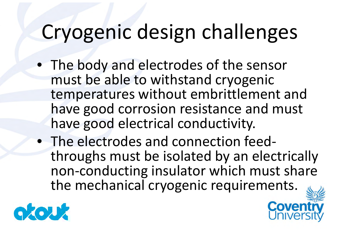# Cryogenic design challenges

- •The body and electrodes of the sensor must be able to withstand cryogenic temperatures without embrittlement and have good corrosion resistance and must have good electrical conductivity.
- The electrodes and connection feedthroughs must be isolated by an electrically non-conducting insulator which must share the mechanical cryogenic requirements.